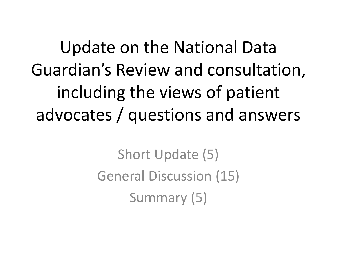Update on the National Data Guardian's Review and consultation, including the views of patient advocates / questions and answers

> Short Update (5) General Discussion (15) Summary (5)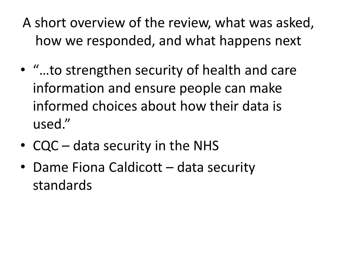- A short overview of the review, what was asked, how we responded, and what happens next
- "…to strengthen security of health and care information and ensure people can make informed choices about how their data is used."
- CQC data security in the NHS
- Dame Fiona Caldicott data security standards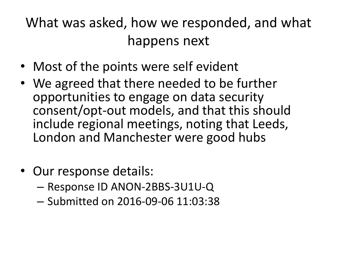#### What was asked, how we responded, and what happens next

- Most of the points were self evident
- We agreed that there needed to be further opportunities to engage on data security consent/opt-out models, and that this should include regional meetings, noting that Leeds, London and Manchester were good hubs
- Our response details:
	- Response ID ANON-2BBS-3U1U-Q
	- Submitted on 2016-09-06 11:03:38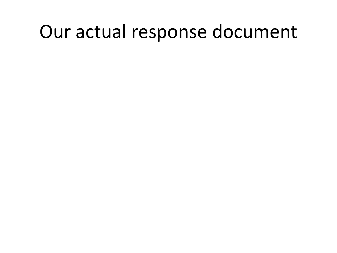#### Our actual response document

- 
- 
- 
- 
- -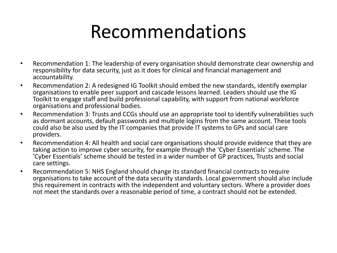- Recommendation 1: The leadership of every organisation should demonstrate clear ownership and responsibility for data security, just as it does for clinical and financial management and accountability.
- Recommendation 2: A redesigned IG Toolkit should embed the new standards, identify exemplar organisations to enable peer support and cascade lessons learned. Leaders should use the IG Toolkit to engage staff and build professional capability, with support from national workforce organisations and professional bodies.
- Recommendation 3: Trusts and CCGs should use an appropriate tool to identify vulnerabilities such as dormant accounts, default passwords and multiple logins from the same account. These tools could also be also used by the IT companies that provide IT systems to GPs and social care providers.
- Recommendation 4: All health and social care organisations should provide evidence that they are taking action to improve cyber security, for example through the 'Cyber Essentials' scheme. The 'Cyber Essentials' scheme should be tested in a wider number of GP practices, Trusts and social care settings.
- Recommendation 5: NHS England should change its standard financial contracts to require organisations to take account of the data security standards. Local government should also include this requirement in contracts with the independent and voluntary sectors. Where a provider does not meet the standards over a reasonable period of time, a contract should not be extended.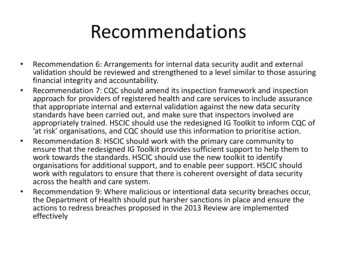- Recommendation 6: Arrangements for internal data security audit and external validation should be reviewed and strengthened to a level similar to those assuring financial integrity and accountability.
- Recommendation 7: CQC should amend its inspection framework and inspection approach for providers of registered health and care services to include assurance that appropriate internal and external validation against the new data security standards have been carried out, and make sure that inspectors involved are appropriately trained. HSCIC should use the redesigned IG Toolkit to inform CQC of 'at risk' organisations, and CQC should use this information to prioritise action.
- Recommendation 8: HSCIC should work with the primary care community to ensure that the redesigned IG Toolkit provides sufficient support to help them to work towards the standards. HSCIC should use the new toolkit to identify organisations for additional support, and to enable peer support. HSCIC should work with regulators to ensure that there is coherent oversight of data security across the health and care system.
- Recommendation 9: Where malicious or intentional data security breaches occur, the Department of Health should put harsher sanctions in place and ensure the actions to redress breaches proposed in the 2013 Review are implemented effectively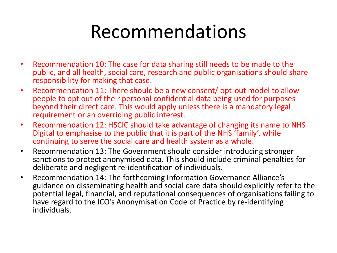- Recommendation 10: The case for data sharing still needs to be made to the public, and all health, social care, research and public organisations should share responsibility for making that case.
- Recommendation 11: There should be a new consent/ opt-out model to allow people to opt out of their personal confidential data being used for purposes beyond their direct care. This would apply unless there is a mandatory legal requirement or an overriding public interest.
- Recommendation 12: HSCIC should take advantage of changing its name to NHS Digital to emphasise to the public that it is part of the NHS 'family', while continuing to serve the social care and health system as a whole.
- Recommendation 13: The Government should consider introducing stronger sanctions to protect anonymised data. This should include criminal penalties for deliberate and negligent re-identification of individuals.
- Recommendation 14: The forthcoming Information Governance Alliance's guidance on disseminating health and social care data should explicitly refer to the potential legal, financial, and reputational consequences of organisations failing to have regard to the ICO's Anonymisation Code of Practice by re-identifying individuals.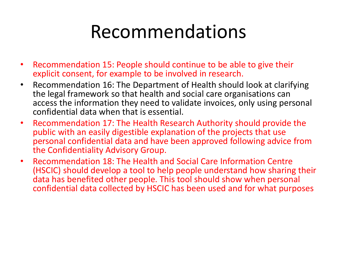- Recommendation 15: People should continue to be able to give their explicit consent, for example to be involved in research.
- Recommendation 16: The Department of Health should look at clarifying the legal framework so that health and social care organisations can access the information they need to validate invoices, only using personal confidential data when that is essential.
- Recommendation 17: The Health Research Authority should provide the public with an easily digestible explanation of the projects that use personal confidential data and have been approved following advice from the Confidentiality Advisory Group.
- Recommendation 18: The Health and Social Care Information Centre (HSCIC) should develop a tool to help people understand how sharing their data has benefited other people. This tool should show when personal confidential data collected by HSCIC has been used and for what purposes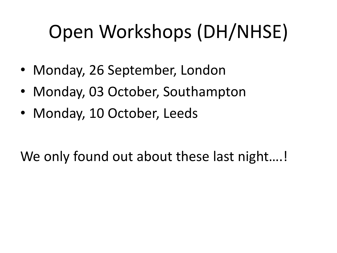# Open Workshops (DH/NHSE)

- Monday, 26 September, London
- Monday, 03 October, Southampton
- Monday, 10 October, Leeds

#### We only found out about these last night....!